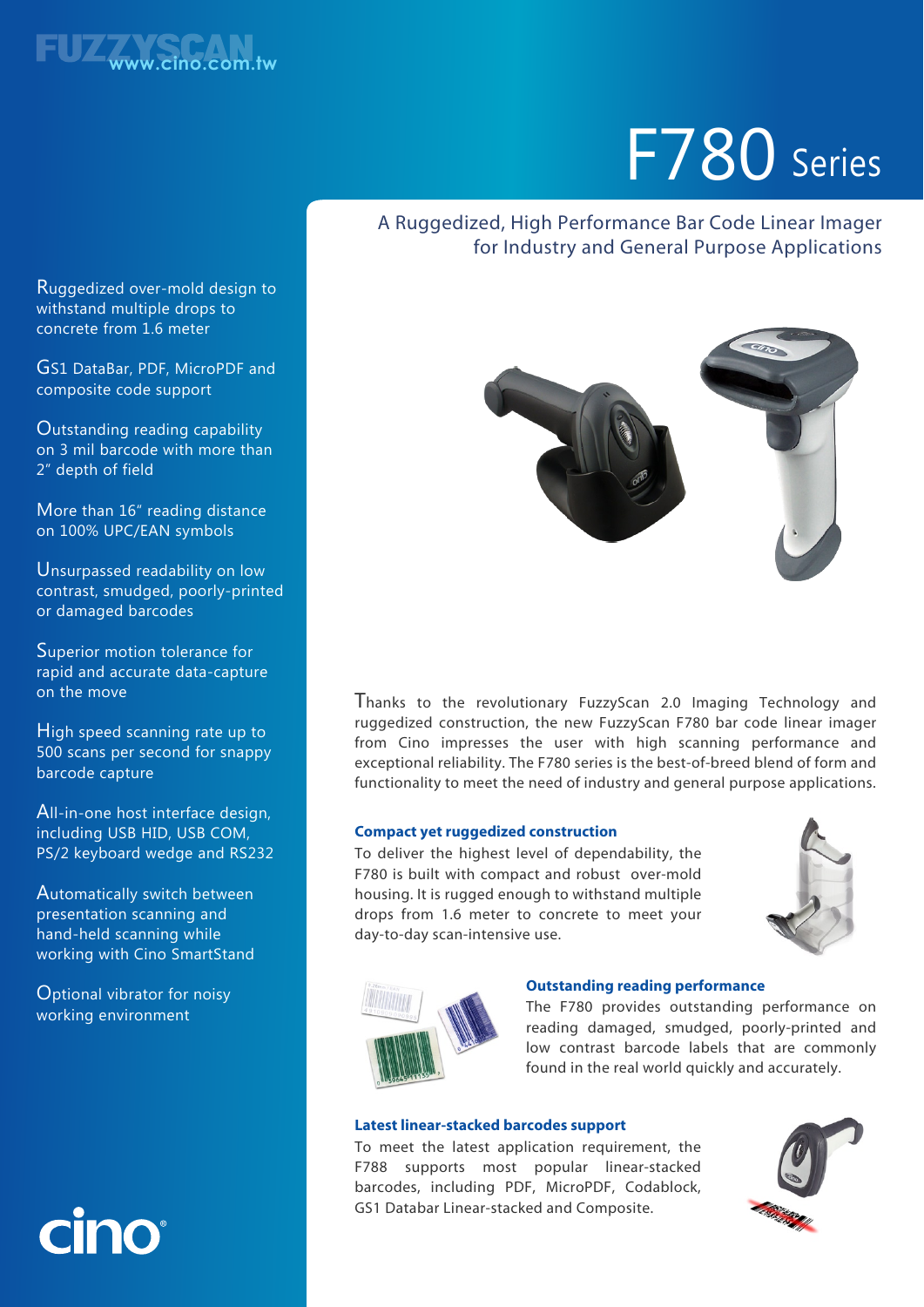

# F780 Series

### A Ruggedized, High Performance Bar Code Linear Imager for Industry and General Purpose Applications



Thanks to the revolutionary FuzzyScan 2.0 Imaging Technology and ruggedized construction, the new FuzzyScan F780 bar code linear imager from Cino impresses the user with high scanning performance and exceptional reliability. The F780 series is the best-of-breed blend of form and functionality to meet the need of industry and general purpose applications.

#### **Compact yet ruggedized construction**

To deliver the highest level of dependability, the F780 is built with compact and robust over-mold housing. It is rugged enough to withstand multiple drops from 1.6 meter to concrete to meet your day-to-day scan-intensive use.





#### **Outstanding reading performance**

The F780 provides outstanding performance on reading damaged, smudged, poorly-printed and low contrast barcode labels that are commonly found in the real world quickly and accurately.

#### **Latest linear-stacked barcodes support**

To meet the latest application requirement, the F788 supports most popular linear-stacked barcodes, including PDF, MicroPDF, Codablock, GS1 Databar Linear-stacked and Composite.



Ruggedized over-mold design to withstand multiple drops to concrete from 1.6 meter

GS1 DataBar, PDF, MicroPDF and composite code support

Outstanding reading capability on 3 mil barcode with more than 2" depth of field

More than 16" reading distance on 100% UPC/EAN symbols

Unsurpassed readability on low contrast, smudged, poorly-printed or damaged barcodes

Superior motion tolerance for rapid and accurate data-capture on the move

High speed scanning rate up to 500 scans per second for snappy barcode capture

All-in-one host interface design, including USB HID, USB COM, PS/2 keyboard wedge and RS232

Automatically switch between presentation scanning and hand-held scanning while working with Cino SmartStand

Optional vibrator for noisy working environment